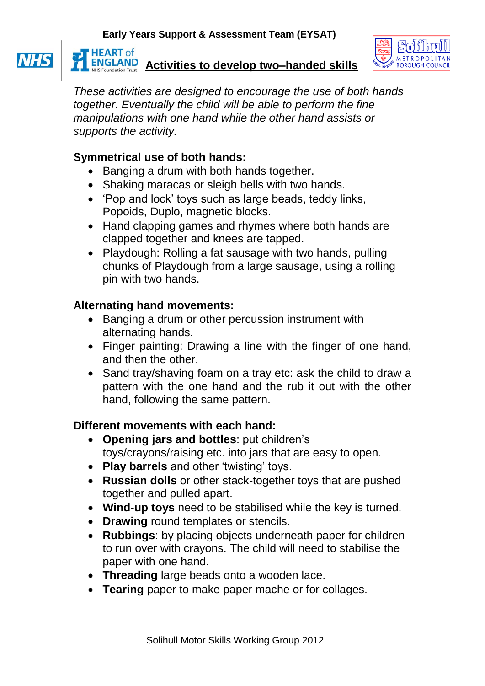

**ENGLAND** Activities to develop two–handed skills

*These activities are designed to encourage the use of both hands together. Eventually the child will be able to perform the fine manipulations with one hand while the other hand assists or supports the activity.* 

## **Symmetrical use of both hands:**

**HEART** of

- Banging a drum with both hands together.
- Shaking maracas or sleigh bells with two hands.
- 'Pop and lock' toys such as large beads, teddy links, Popoids, Duplo, magnetic blocks.
- Hand clapping games and rhymes where both hands are clapped together and knees are tapped.
- Playdough: Rolling a fat sausage with two hands, pulling chunks of Playdough from a large sausage, using a rolling pin with two hands.

## **Alternating hand movements:**

- Banging a drum or other percussion instrument with alternating hands.
- Finger painting: Drawing a line with the finger of one hand, and then the other.
- Sand tray/shaving foam on a tray etc: ask the child to draw a pattern with the one hand and the rub it out with the other hand, following the same pattern.

## **Different movements with each hand:**

- **Opening jars and bottles**: put children's toys/crayons/raising etc. into jars that are easy to open.
- **Play barrels** and other 'twisting' toys.
- **Russian dolls** or other stack-together toys that are pushed together and pulled apart.
- **Wind-up toys** need to be stabilised while the key is turned.
- **Drawing** round templates or stencils.
- **Rubbings**: by placing objects underneath paper for children to run over with crayons. The child will need to stabilise the paper with one hand.
- **Threading** large beads onto a wooden lace.
- **Tearing** paper to make paper mache or for collages.